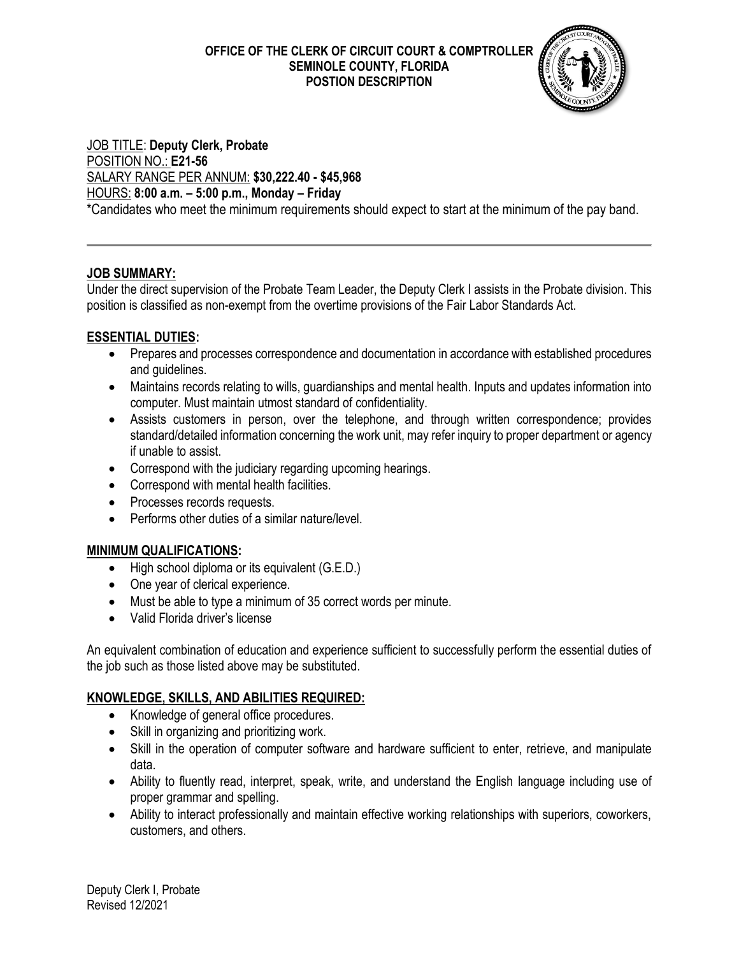#### **OFFICE OF THE CLERK OF CIRCUIT COURT & COMPTROLLER SEMINOLE COUNTY, FLORIDA POSTION DESCRIPTION**



## JOB TITLE: **Deputy Clerk, Probate** POSITION NO.: **E21-56** SALARY RANGE PER ANNUM: **\$30,222.40 - \$45,968** HOURS: **8:00 a.m. – 5:00 p.m., Monday – Friday**

\*Candidates who meet the minimum requirements should expect to start at the minimum of the pay band.

## **JOB SUMMARY:**

Under the direct supervision of the Probate Team Leader, the Deputy Clerk I assists in the Probate division. This position is classified as non-exempt from the overtime provisions of the Fair Labor Standards Act.

## **ESSENTIAL DUTIES:**

- Prepares and processes correspondence and documentation in accordance with established procedures and guidelines.
- Maintains records relating to wills, guardianships and mental health. Inputs and updates information into computer. Must maintain utmost standard of confidentiality.
- Assists customers in person, over the telephone, and through written correspondence; provides standard/detailed information concerning the work unit, may refer inquiry to proper department or agency if unable to assist.
- Correspond with the judiciary regarding upcoming hearings.
- Correspond with mental health facilities.
- Processes records requests.
- Performs other duties of a similar nature/level.

# **MINIMUM QUALIFICATIONS:**

- High school diploma or its equivalent (G.E.D.)
- One year of clerical experience.
- Must be able to type a minimum of 35 correct words per minute.
- Valid Florida driver's license

An equivalent combination of education and experience sufficient to successfully perform the essential duties of the job such as those listed above may be substituted.

## **KNOWLEDGE, SKILLS, AND ABILITIES REQUIRED:**

- Knowledge of general office procedures.
- Skill in organizing and prioritizing work.
- Skill in the operation of computer software and hardware sufficient to enter, retrieve, and manipulate data.
- Ability to fluently read, interpret, speak, write, and understand the English language including use of proper grammar and spelling.
- Ability to interact professionally and maintain effective working relationships with superiors, coworkers, customers, and others.

Deputy Clerk I, Probate Revised 12/2021